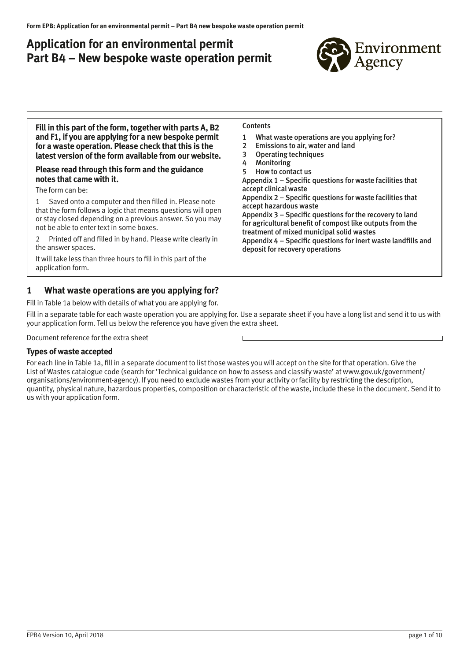# **Application for an environmental permit Part B4 – New bespoke waste operation permit**



**Fill in this part of the form, together with parts A, B2 and F1, if you are applying for a new bespoke permit for a waste operation. Please check that this is the latest version of the form available from our website.**

#### **Please read through this form and the guidance notes that came with it.**

The form can be:

1 Saved onto a computer and then filled in. Please note that the form follows a logic that means questions will open or stay closed depending on a previous answer. So you may not be able to enter text in some boxes.

2 Printed off and filled in by hand. Please write clearly in the answer spaces.

It will take less than three hours to fill in this part of the application form.

### **1 What waste operations are you applying for?**

Fill in Table 1a below with details of what you are applying for.

Fill in a separate table for each waste operation you are applying for. Use a separate sheet if you have a long list and send it to us with your application form. Tell us below the reference you have given the extra sheet.

Document reference for the extra sheet

### **Types of waste accepted**

For each line in Table 1a, fill in a separate document to list those wastes you will accept on the site for that operation. Give the List of Wastes catalogue code (search for 'Technical guidance on how to assess and classify waste' at [www.gov.uk/government/](http://www.gov.uk/government/) organisations/environment-agency). If you need to exclude wastes from your activity or facility by restricting the description, quantity, physical nature, hazardous properties, composition or characteristic of the waste, include these in the document. Send it to us with your application form.

#### **Contents**

- 1 What waste operations are you applying for?
- 2 [Emissions to air, water and land](#page-2-0)
- 3 [Operating techniques](#page-3-0)
- 4 [Monitoring](#page-4-0)
- 5 [How to contact us](#page-5-0)

[Appendix 1 – Specific questions for waste facilities that](#page-6-0)  accept clinical waste [Appendix 2 – Specific questions for waste facilities that](#page-7-0)  accept hazardous waste [Appendix 3 – Specific questions for the recovery to land](#page-8-0)  for agricultural benefit of compost like outputs from the

treatment of mixed municipal solid wastes [Appendix 4 – Specific questions for inert waste landfills and](#page-9-0)  deposit for recovery operations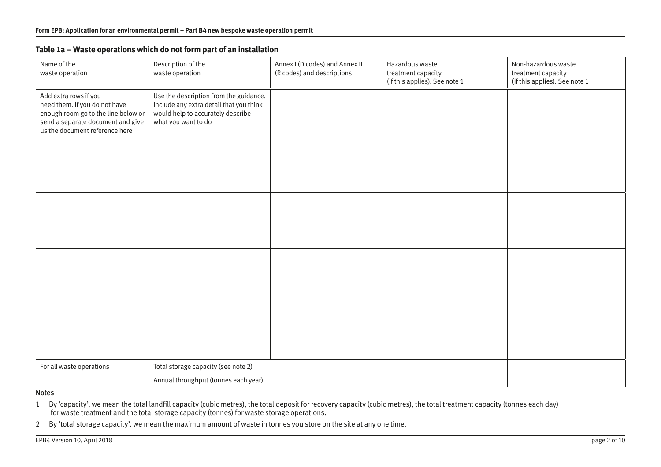| Name of the<br>waste operation                                                                                                                                       | Description of the<br>waste operation                                                                                                         | Annex I (D codes) and Annex II<br>(R codes) and descriptions | Hazardous waste<br>treatment capacity<br>(if this applies). See note 1 | Non-hazardous waste<br>treatment capacity<br>(if this applies). See note 1 |
|----------------------------------------------------------------------------------------------------------------------------------------------------------------------|-----------------------------------------------------------------------------------------------------------------------------------------------|--------------------------------------------------------------|------------------------------------------------------------------------|----------------------------------------------------------------------------|
| Add extra rows if you<br>need them. If you do not have<br>enough room go to the line below or<br>send a separate document and give<br>us the document reference here | Use the description from the guidance.<br>Include any extra detail that you think<br>would help to accurately describe<br>what you want to do |                                                              |                                                                        |                                                                            |
|                                                                                                                                                                      |                                                                                                                                               |                                                              |                                                                        |                                                                            |
|                                                                                                                                                                      |                                                                                                                                               |                                                              |                                                                        |                                                                            |
|                                                                                                                                                                      |                                                                                                                                               |                                                              |                                                                        |                                                                            |
|                                                                                                                                                                      |                                                                                                                                               |                                                              |                                                                        |                                                                            |
| For all waste operations                                                                                                                                             | Total storage capacity (see note 2)                                                                                                           |                                                              |                                                                        |                                                                            |
|                                                                                                                                                                      | Annual throughput (tonnes each year)                                                                                                          |                                                              |                                                                        |                                                                            |

### **Table 1a – Waste operations which do not form part of an installation**

#### Notes

1 By 'capacity', we mean the total landfill capacity (cubic metres), the total deposit for recovery capacity (cubic metres), the total treatment capacity (tonnes each day) for waste treatment and the total storage capacity (tonnes) for waste storage operations.

2 By 'total storage capacity', we mean the maximum amount of waste in tonnes you store on the site at any one time.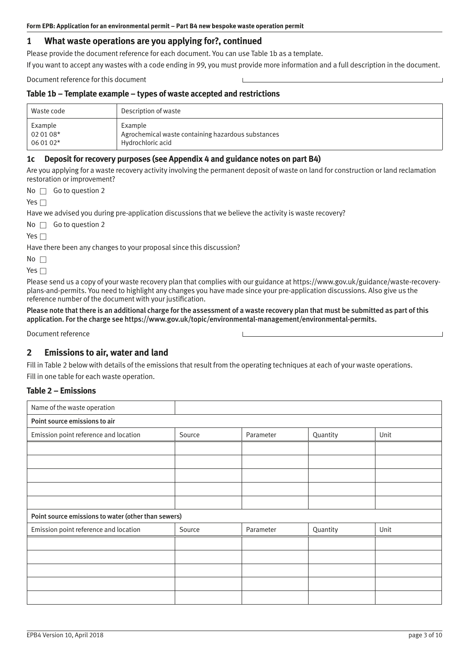### <span id="page-2-0"></span>**1 What waste operations are you applying for?, continued**

Please provide the document reference for each document. You can use Table 1b as a template.

If you want to accept any wastes with a code ending in 99, you must provide more information and a full description in the document.

Document reference for this document

#### **Table 1b – Template example – types of waste accepted and restrictions**

| Waste code | Description of waste                               |
|------------|----------------------------------------------------|
| Example    | Example                                            |
| 02 01 08*  | Agrochemical waste containing hazardous substances |
| 06 01 02*  | Hydrochloric acid                                  |

#### **1c Deposit for recovery purposes (see Appendix 4 and guidance notes on part B4)**

Are you applying for a waste recovery activity involving the permanent deposit of waste on land for construction or land reclamation restoration or improvement?

No  $\Box$  Go to question 2

Yes  $\Box$ 

Have we advised you during pre-application discussions that we believe the activity is waste recovery?

 $No \nightharpoonup Go$  to question 2

| - - |  |
|-----|--|
|     |  |

Have there been any changes to your proposal since this discussion?

| × |  |
|---|--|
|   |  |

Yes  $\Box$ 

Please send us a copy of your waste recovery plan that complies with our guidance at [https://www.gov.uk/guidance/waste-recovery](https://www.gov.uk/guidance/waste-recovery-plans-and-permits)[plans-and-permits.](https://www.gov.uk/guidance/waste-recovery-plans-and-permits) You need to highlight any changes you have made since your pre-application discussions. Also give us the reference number of the document with your justification.

Please note that there is an additional charge for the assessment of a waste recovery plan that must be submitted as part of this application. For the charge see [https://www.gov.uk/topic/environmental-management/environmental-permits.](https://www.gov.uk/topic/environmental-management/environmental-permits)

Document reference

### **2 Emissions to air, water and land**

Fill in Table 2 below with details of the emissions that result from the operating techniques at each of your waste operations.

Fill in one table for each waste operation.

### **Table 2 – Emissions**

| Name of the waste operation                         |        |           |          |      |  |
|-----------------------------------------------------|--------|-----------|----------|------|--|
| Point source emissions to air                       |        |           |          |      |  |
| Emission point reference and location               | Source | Parameter | Quantity | Unit |  |
|                                                     |        |           |          |      |  |
|                                                     |        |           |          |      |  |
|                                                     |        |           |          |      |  |
|                                                     |        |           |          |      |  |
|                                                     |        |           |          |      |  |
| Point source emissions to water (other than sewers) |        |           |          |      |  |
| Emission point reference and location               | Source | Parameter | Quantity | Unit |  |
|                                                     |        |           |          |      |  |
|                                                     |        |           |          |      |  |
|                                                     |        |           |          |      |  |
|                                                     |        |           |          |      |  |
|                                                     |        |           |          |      |  |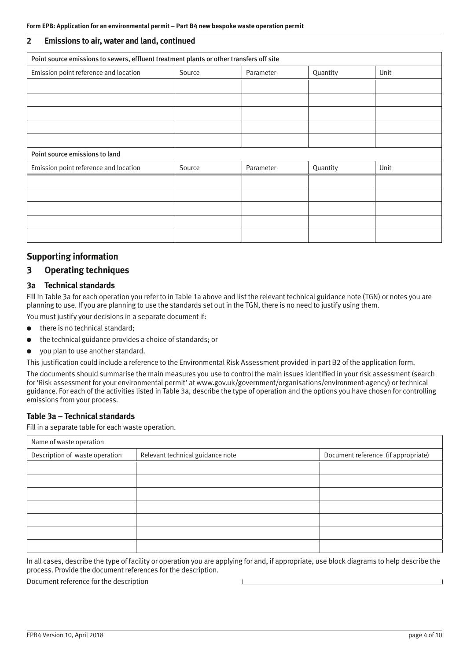#### <span id="page-3-0"></span>**2 Emissions to air, water and land, continued**

| Point source emissions to sewers, effluent treatment plants or other transfers off site |        |           |          |      |
|-----------------------------------------------------------------------------------------|--------|-----------|----------|------|
| Emission point reference and location                                                   | Source | Parameter | Quantity | Unit |
|                                                                                         |        |           |          |      |
|                                                                                         |        |           |          |      |
|                                                                                         |        |           |          |      |
|                                                                                         |        |           |          |      |
|                                                                                         |        |           |          |      |
| Point source emissions to land                                                          |        |           |          |      |
| Emission point reference and location                                                   | Source | Parameter | Quantity | Unit |
|                                                                                         |        |           |          |      |
|                                                                                         |        |           |          |      |
|                                                                                         |        |           |          |      |
|                                                                                         |        |           |          |      |
|                                                                                         |        |           |          |      |

### **Supporting information**

### **3 Operating techniques**

#### **3a Technical standards**

Fill in Table 3a for each operation you refer to in Table 1a above and list the relevant technical guidance note (TGN) or notes you are planning to use. If you are planning to use the standards set out in the TGN, there is no need to justify using them.

You must justify your decisions in a separate document if:

- there is no technical standard;
- the technical guidance provides a choice of standards; or
- vou plan to use another standard.

This justification could include a reference to the Environmental Risk Assessment provided in part B2 of the application form.

The documents should summarise the main measures you use to control the main issues identified in your risk assessment (search for 'Risk assessment for your environmental permit' at [www.gov.uk/government/organisations/environment-agency\) or](http://www.gov.uk/government/organisations/environment-agency) technical guidance. For each of the activities listed in Table 3a, describe the type of operation and the options you have chosen for controlling emissions from your process.

#### **Table 3a – Technical standards**

Fill in a separate table for each waste operation.

| Name of waste operation        |                                  |                                     |  |
|--------------------------------|----------------------------------|-------------------------------------|--|
| Description of waste operation | Relevant technical guidance note | Document reference (if appropriate) |  |
|                                |                                  |                                     |  |
|                                |                                  |                                     |  |
|                                |                                  |                                     |  |
|                                |                                  |                                     |  |
|                                |                                  |                                     |  |
|                                |                                  |                                     |  |
|                                |                                  |                                     |  |

In all cases, describe the type of facility or operation you are applying for and, if appropriate, use block diagrams to help describe the process. Provide the document references for the description.

Document reference for the description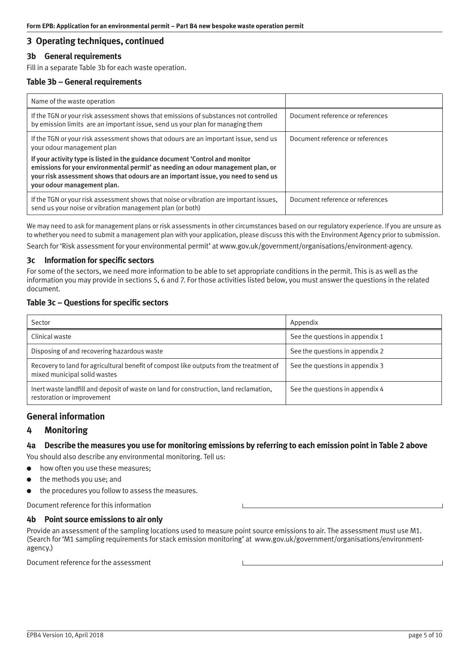### <span id="page-4-0"></span>**3 Operating techniques, continued**

#### **3b General requirements**

Fill in a separate Table 3b for each waste operation.

#### **Table 3b – General requirements**

| Name of the waste operation                                                                                                                                                                                                                                                            |                                  |
|----------------------------------------------------------------------------------------------------------------------------------------------------------------------------------------------------------------------------------------------------------------------------------------|----------------------------------|
| If the TGN or your risk assessment shows that emissions of substances not controlled<br>by emission limits are an important issue, send us your plan for managing them                                                                                                                 | Document reference or references |
| If the TGN or your risk assessment shows that odours are an important issue, send us<br>your odour management plan                                                                                                                                                                     | Document reference or references |
| If your activity type is listed in the guidance document 'Control and monitor<br>emissions for your environmental permit' as needing an odour management plan, or<br>your risk assessment shows that odours are an important issue, you need to send us<br>your odour management plan. |                                  |
| If the TGN or your risk assessment shows that noise or vibration are important issues,<br>send us your noise or vibration management plan (or both)                                                                                                                                    | Document reference or references |

We may need to ask for management plans or risk assessments in other circumstances based on our regulatory experience. If you are unsure as to whether you need to submit a management plan with your application, please discuss this with the Environment Agency prior to submission.

Search for 'Risk assessment for your environmental permit' at [www.gov.uk/government/organisations/environment-agency.](http://www.gov.uk/government/organisations/environment-agency)

#### **3c Information for specific sectors**

For some of the sectors, we need more information to be able to set appropriate conditions in the permit. This is as well as the information you may provide in sections 5, 6 and 7. For those activities listed below, you must answer the questions in the related document.

#### **Table 3c – Questions for specific sectors**

| Sector                                                                                                                  | Appendix                        |
|-------------------------------------------------------------------------------------------------------------------------|---------------------------------|
| Clinical waste                                                                                                          | See the questions in appendix 1 |
| Disposing of and recovering hazardous waste                                                                             | See the questions in appendix 2 |
| Recovery to land for agricultural benefit of compost like outputs from the treatment of<br>mixed municipal solid wastes | See the questions in appendix 3 |
| Inert waste landfill and deposit of waste on land for construction, land reclamation,<br>restoration or improvement     | See the questions in appendix 4 |

### **General information**

### **4 Monitoring**

### **4a Describe the measures you use for monitoring emissions by referring to each emission point in Table 2 above**

You should also describe any environmental monitoring. Tell us:

- how often you use these measures;
- the methods you use; and
- the procedures you follow to assess the measures.

Document reference for this information

#### **4b Point source emissions to air only**

Provide an assessment of the sampling locations used to measure point source emissions to air. The assessment must use M1. (Search for 'M1 sampling requirements for stack emission monitoring' at [www.gov.uk/government/organisations/environment](http://www.gov.uk/government/organisations/environment-agency)[agency.\)](http://www.gov.uk/government/organisations/environment-agency)

Document reference for the assessment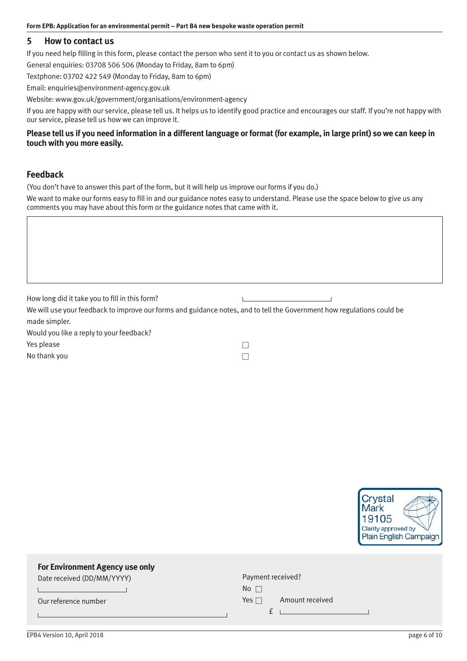### <span id="page-5-0"></span>**5 How to contact us**

If you need help filling in this form, please contact the person who sent it to you or contact us as shown below.

General enquiries: 03708 506 506 (Monday to Friday, 8am to 6pm)

Textphone: 03702 422 549 (Monday to Friday, 8am to 6pm)

Email: [enquiries@environment-agency.gov.uk](mailto:enquiries@environment-agency.gov.uk) 

Website: [www.gov.uk/government/organisations/environment-agency](http://www.gov.uk/government/organisations/environment-agency) 

If you are happy with our service, please tell us. It helps us to identify good practice and encourages our staff. If you're not happy with our service, please tell us how we can improve it.

### **Please tell us if you need information in a different language or format (for example, in large print) so we can keep in touch with you more easily.**

### **Feedback**

(You don't have to answer this part of the form, but it will help us improve our forms if you do.)

We want to make our forms easy to fill in and our guidance notes easy to understand. Please use the space below to give us any comments you may have about this form or the guidance notes that came with it.

| How long did it take you to fill in this form?                                                                         |  |
|------------------------------------------------------------------------------------------------------------------------|--|
| We will use your feedback to improve our forms and guidance notes, and to tell the Government how regulations could be |  |
| made simpler.                                                                                                          |  |
| Would you like a reply to your feedback?                                                                               |  |
| Yes please                                                                                                             |  |
| No thank you                                                                                                           |  |



### **For Environment Agency use only**

Date received (DD/MM/YYYY)

Our reference number

| Payment received? |                 |
|-------------------|-----------------|
| No $\Box$         |                 |
| Yes $\Box$        | Amount received |

EPB4 Version 10, April 2018 **page 6 of 10** and the state of the state of the state of the state of the state of the state of the state of the state of the state of the state of the state of the state of the state of the st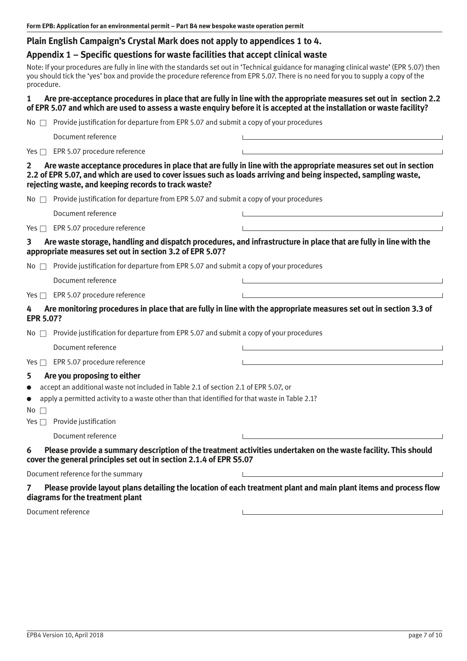### <span id="page-6-0"></span>**Plain English Campaign's Crystal Mark does not apply to appendices 1 to 4.**

### **Appendix 1 – Specific questions for waste facilities that accept clinical waste**

Note: If your procedures are fully in line with the standards set out in 'Technical guidance for managing clinical waste' (EPR 5.07) then you should tick the 'yes' box and provide the procedure reference from EPR 5.07. There is no need for you to supply a copy of the procedure.

#### **1 Are pre-acceptance procedures in place that are fully in line with the appropriate measures set out in section 2.2 of EPR 5.07 and which are used to assess a waste enquiry before it is accepted at the installation or waste facility?**

|  |  |  | No $\Box$ Provide justification for departure from EPR 5.07 and submit a copy of your procedures |
|--|--|--|--------------------------------------------------------------------------------------------------|

Document reference

Yes  $\Box$  EPR 5.07 procedure reference

### **2 Are waste acceptance procedures in place that are fully in line with the appropriate measures set out in section 2.2 of EPR 5.07, and which are used to cover issues such as loads arriving and being inspected, sampling waste, rejecting waste, and keeping records to track waste?**

|  | No $\Box$ Provide justification for departure from EPR 5.07 and submit a copy of your procedures |  |
|--|--------------------------------------------------------------------------------------------------|--|

 Document reference Yes  $\Box$  EPR 5.07 procedure reference

**3 Are waste storage, handling and dispatch procedures, and infrastructure in place that are fully in line with the appropriate measures set out in section 3.2 of EPR 5.07?** 

No  $\Box$  Provide justification for departure from EPR 5.07 and submit a copy of your procedures

Document reference

#### Yes  $\Box$  EPR 5.07 procedure reference

**4 Are monitoring procedures in place that are fully in line with the appropriate measures set out in section 3.3 of EPR 5.07?** 

No  $\Box$  Provide justification for departure from EPR 5.07 and submit a copy of your procedures

Document reference

Yes  $\Box$  EPR 5.07 procedure reference

### **5 Are you proposing to either**

accept an additional waste not included in Table 2.1 of section 2.1 of EPR 5.07, or

● apply a permitted activity to a waste other than that identified for that waste in Table 2.1?

 $No \square$ 

 $Yes \nightharpoonup \nightharpoonup \nightharpoonup \nightharpoonup \nightharpoonup \nightharpoonup \nightharpoonup \nightharpoonup \nightharpoonup \nightharpoonup \nightharpoonup \nightharpoonup \nightharpoonup \nightharpoonup \nightharpoonup \nightharpoonup \nightharpoonup \nightharpoonup \nightharpoonup \nightharpoonup \nightharpoonup \nightharpoonup \nightharpoonup \nightharpoonup \nightharpoonup \nightharpoonup \nightharpoonup \nightharpoonup \nightharpoonup \nightharpoonup \nightharpoonup \nightharpoonup \nightharpoonup \nightharpoonup \nightharpoonup \nightharpoonup \nighth$ 

Document reference

### **6 Please provide a summary description of the treatment activities undertaken on the waste facility. This should cover the general principles set out in section 2.1.4 of EPR S5.07**

 $\mathbf{L}$ 

Document reference for the summary

### 7 Please provide layout plans detailing the location of each treatment plant and main plant items and process flow **diagrams for the treatment plant**

Document reference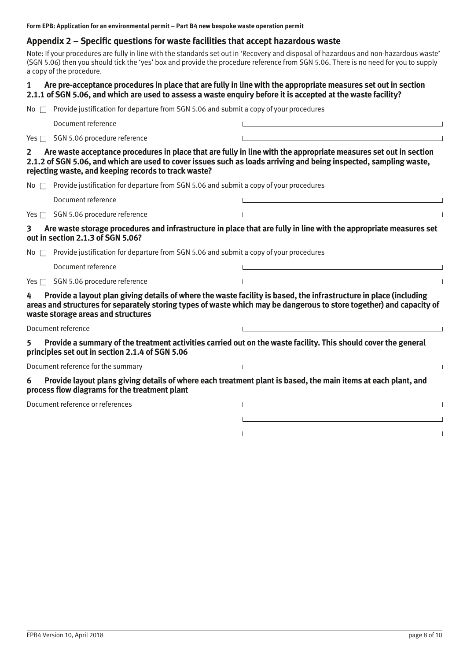### <span id="page-7-0"></span>**Appendix 2 – Specific questions for waste facilities that accept hazardous waste**

Note: If your procedures are fully in line with the standards set out in 'Recovery and disposal of hazardous and non-hazardous waste' (SGN 5.06) then you should tick the 'yes' box and provide the procedure reference from SGN 5.06. There is no need for you to supply a copy of the procedure.

#### **1 Are pre-acceptance procedures in place that are fully in line with the appropriate measures set out in section 2.1.1 of SGN 5.06, and which are used to assess a waste enquiry before it is accepted at the waste facility?**

 $N$ o  $\Box$  Provide justification for departure from SGN 5.06 and submit a copy of your procedures

Document reference

Yes  $\Box$  SGN 5.06 procedure reference

**2 Are waste acceptance procedures in place that are fully in line with the appropriate measures set out in section 2.1.2 of SGN 5.06, and which are used to cover issues such as loads arriving and being inspected, sampling waste, rejecting waste, and keeping records to track waste?** 

No  $\Box$  Provide justification for departure from SGN 5.06 and submit a copy of your procedures

Document reference

Yes  $\Box$  SGN 5.06 procedure reference

### **3 Are waste storage procedures and infrastructure in place that are fully in line with the appropriate measures set out in section 2.1.3 of SGN 5.06?**

No  $\Box$  Provide justification for departure from SGN 5.06 and submit a copy of your procedures

Document reference

 $Yes \Box$  SGN 5.06 procedure reference

**4 Provide a layout plan giving details of where the waste facility is based, the infrastructure in place (including areas and structures for separately storing types of waste which may be dangerous to store together) and capacity of waste storage areas and structures** 

Document reference

**5 Provide a summary of the treatment activities carried out on the waste facility. This should cover the general principles set out in section 2.1.4 of SGN 5.06**

Document reference for the summary

#### **6 Provide layout plans giving details of where each treatment plant is based, the main items at each plant, and process flow diagrams for the treatment plant**

Document reference or references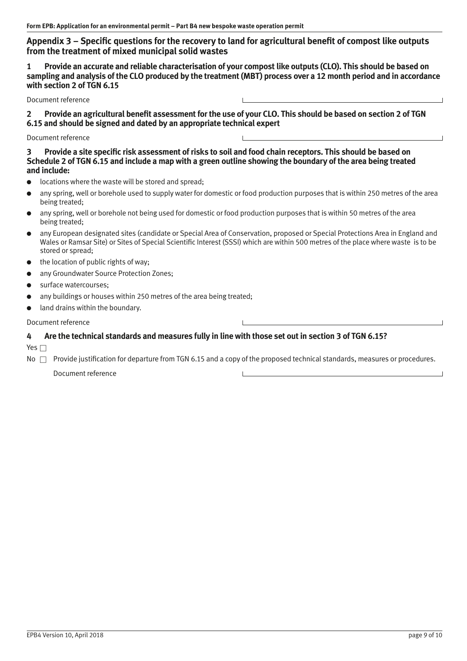### <span id="page-8-0"></span>**Appendix 3 – Specific questions for the recovery to land for agricultural benefit of compost like outputs from the treatment of mixed municipal solid wastes**

**1 Provide an accurate and reliable characterisation of your compost like outputs (CLO). This should be based on sampling and analysis of the CLO produced by the treatment (MBT) process over a 12 month period and in accordance with section 2 of TGN 6.15** 

Document reference

2 Provide an agricultural benefit assessment for the use of your CLO. This should be based on section 2 of TGN **6.15 and should be signed and dated by an appropriate technical expert** 

Document reference

3 Provide a site specific risk assessment of risks to soil and food chain receptors. This should be based on **Schedule 2 of TGN 6.15 and include a map with a green outline showing the boundary of the area being treated and include:** 

- locations where the waste will be stored and spread;
- any spring, well or borehole used to supply water for domestic or food production purposes that is within 250 metres of the area being treated;
- any spring, well or borehole not being used for domestic or food production purposes that is within 50 metres of the area being treated;
- any European designated sites (candidate or Special Area of Conservation, proposed or Special Protections Area in England and Wales or Ramsar Site) or Sites of Special Scientific Interest (SSSI) which are within 500 metres of the place where waste is to be stored or spread;
- the location of public rights of way;
- any Groundwater Source Protection Zones:
- surface watercourses:
- any buildings or houses within 250 metres of the area being treated;
- land drains within the boundary.

#### Document reference

### **4 Are the technical standards and measures fully in line with those set out in section 3 of TGN 6.15?**

Yes  $\square$ 

 $\mathsf{No} \ \Box$  Provide justification for departure from TGN 6.15 and a copy of the proposed technical standards, measures or procedures.

Document reference